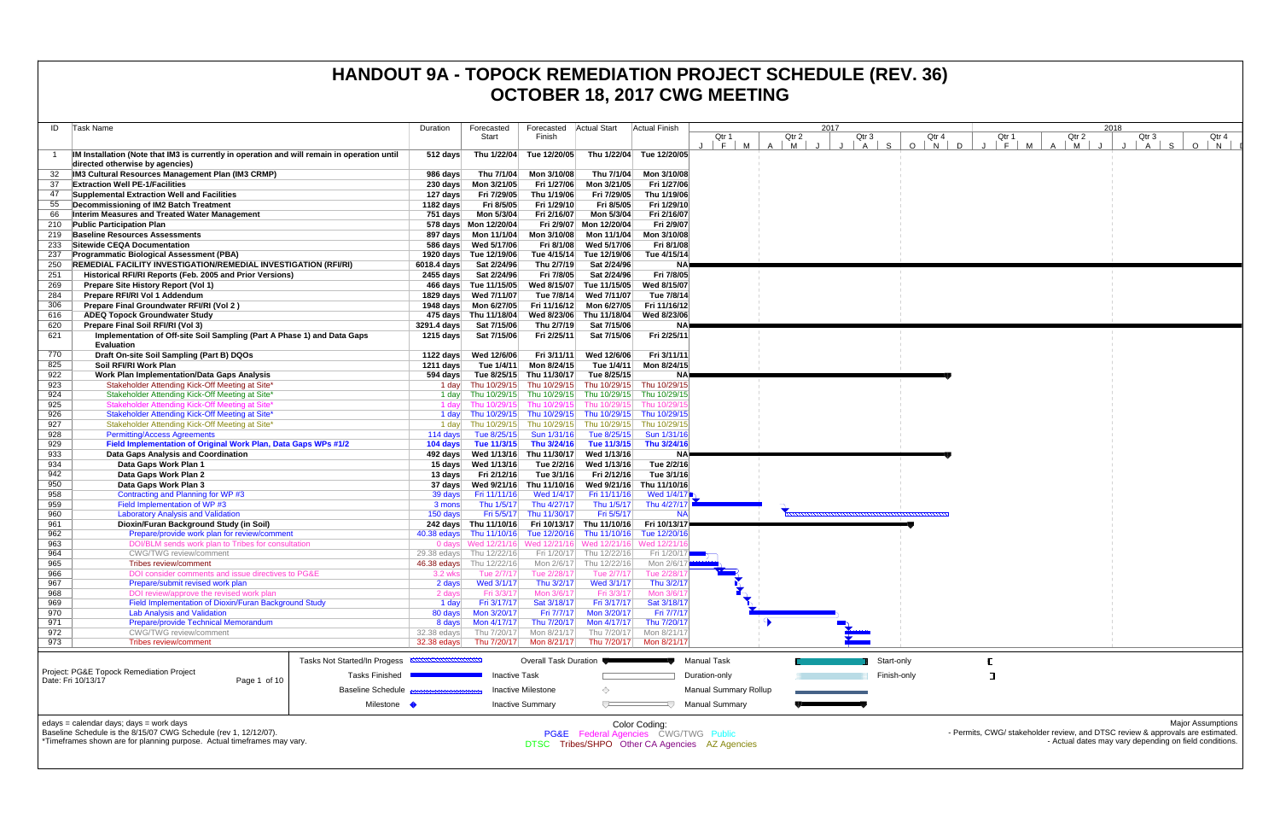|            |                                                                                                                                     |                              |                                       |                                        |                                                                                               |                           | <b>UCTUDEN 10, ZUTT UTTU MEETING</b>           |                     |           |               |       |                                     |                     |       |                                                                                                            |
|------------|-------------------------------------------------------------------------------------------------------------------------------------|------------------------------|---------------------------------------|----------------------------------------|-----------------------------------------------------------------------------------------------|---------------------------|------------------------------------------------|---------------------|-----------|---------------|-------|-------------------------------------|---------------------|-------|------------------------------------------------------------------------------------------------------------|
| ID         | Task Name                                                                                                                           | Duration                     | Forecasted                            | Forecasted                             | <b>Actual Start</b>                                                                           | Actual Finish             |                                                |                     | 2017      |               |       |                                     |                     | 2018  |                                                                                                            |
|            |                                                                                                                                     |                              | Start                                 | Finish                                 |                                                                                               |                           | Qtr 1                                          | Qtr 2               | Qtr 3     |               | Qtr 4 | Qtr 1                               | Qtr 2               | Qtr 3 | Qtr 4                                                                                                      |
|            | IM Installation (Note that IM3 is currently in operation and will remain in operation until<br>directed otherwise by agencies)      | $512$ days                   |                                       | Thu 1/22/04 Tue 12/20/05               |                                                                                               | Thu 1/22/04 Tue 12/20/05  | M<br> F                                        | M<br>$\overline{A}$ | A $\vert$ | S.<br>$O$   N | D     | M<br>$\mathsf{F}$<br>$\blacksquare$ | M<br>$\overline{A}$ | A     | S.<br>$\circ$<br>N                                                                                         |
|            | IM3 Cultural Resources Management Plan (IM3 CRMP)                                                                                   | 986 days                     | Thu 7/1/04                            | Mon 3/10/08                            | Thu 7/1/04                                                                                    | Mon 3/10/08               |                                                |                     |           |               |       |                                     |                     |       |                                                                                                            |
| 37         | <b>Extraction Well PE-1/Facilities</b>                                                                                              | 230 days                     | Mon 3/21/05                           | Fri 1/27/06                            | Mon 3/21/05                                                                                   | Fri 1/27/06               |                                                |                     |           |               |       |                                     |                     |       |                                                                                                            |
| 47         | Supplemental Extraction Well and Facilities                                                                                         | 127 days                     | Fri 7/29/05                           | Thu 1/19/06                            | Fri 7/29/05                                                                                   | Thu 1/19/06               |                                                |                     |           |               |       |                                     |                     |       |                                                                                                            |
| 55         | Decommissioning of IM2 Batch Treatment                                                                                              | 1182 days                    | Fri 8/5/05                            | Fri 1/29/10                            | Fri 8/5/05                                                                                    | Fri 1/29/10               |                                                |                     |           |               |       |                                     |                     |       |                                                                                                            |
| 66         | Interim Measures and Treated Water Management                                                                                       | 751 days                     | Mon 5/3/04                            | Fri 2/16/07                            | Mon 5/3/04                                                                                    | Fri 2/16/07               |                                                |                     |           |               |       |                                     |                     |       |                                                                                                            |
| 210<br>219 | <b>Public Participation Plan</b><br><b>Baseline Resources Assessments</b>                                                           |                              | 578 days Mon 12/20/04                 | Mon 3/10/08                            | Fri 2/9/07 Mon 12/20/04<br>Mon 11/1/04                                                        | Fri 2/9/07<br>Mon 3/10/08 |                                                |                     |           |               |       |                                     |                     |       |                                                                                                            |
| 233        | Sitewide CEQA Documentation                                                                                                         |                              | 586 days Wed 5/17/06                  | Fri 8/1/08                             | Wed 5/17/06                                                                                   | Fri 8/1/08                |                                                |                     |           |               |       |                                     |                     |       |                                                                                                            |
| 237        | <b>Programmatic Biological Assessment (PBA)</b>                                                                                     |                              | 1920 days Tue 12/19/06                |                                        | Tue 4/15/14 Tue 12/19/06                                                                      | Tue 4/15/14               |                                                |                     |           |               |       |                                     |                     |       |                                                                                                            |
| 250        | <b>REMEDIAL FACILITY INVESTIGATION/REMEDIAL INVESTIGATION (RFI/RI)</b>                                                              | 6018.4 days                  | Sat 2/24/96                           | Thu 2/7/19                             | Sat 2/24/96                                                                                   | <b>NA</b>                 |                                                |                     |           |               |       |                                     |                     |       |                                                                                                            |
| 251        | Historical RFI/RI Reports (Feb. 2005 and Prior Versions)                                                                            |                              | 2455 days Sat 2/24/96                 | Fri 7/8/05                             | Sat 2/24/96                                                                                   | Fri 7/8/05                |                                                |                     |           |               |       |                                     |                     |       |                                                                                                            |
| 269        | Prepare Site History Report (Vol 1)                                                                                                 |                              | 466 days Tue 11/15/05                 | Wed 8/15/07                            | Tue 11/15/05                                                                                  | Wed 8/15/07               |                                                |                     |           |               |       |                                     |                     |       |                                                                                                            |
| 284        | Prepare RFI/RI Vol 1 Addendum                                                                                                       |                              | 1829 days Wed 7/11/07                 | Tue 7/8/14                             | Wed 7/11/07                                                                                   | Tue 7/8/14                |                                                |                     |           |               |       |                                     |                     |       |                                                                                                            |
| 306        | Prepare Final Groundwater RFI/RI (Vol 2)                                                                                            |                              | 1948 days    Mon 6/27/05              |                                        | Fri 11/16/12 Mon 6/27/05                                                                      | Fri 11/16/12              |                                                |                     |           |               |       |                                     |                     |       |                                                                                                            |
| 616<br>620 | <b>ADEQ Topock Groundwater Study</b><br>Prepare Final Soil RFI/RI (Vol 3)                                                           | 3291.4 days                  | 475 days Thu 11/18/04<br>Sat 7/15/06  | Thu 2/7/19                             | Wed 8/23/06 Thu 11/18/04<br>Sat 7/15/06                                                       | Wed 8/23/06<br>ΝA         |                                                |                     |           |               |       |                                     |                     |       |                                                                                                            |
| 621        | Implementation of Off-site Soil Sampling (Part A Phase 1) and Data Gaps<br><b>Evaluation</b>                                        | 1215 days                    | Sat 7/15/06                           | Fri 2/25/11                            | Sat 7/15/06                                                                                   | Fri 2/25/11               |                                                |                     |           |               |       |                                     |                     |       |                                                                                                            |
| 770        | Draft On-site Soil Sampling (Part B) DQOs                                                                                           |                              | 1122 days Wed 12/6/06                 | Fri 3/11/11                            | Wed 12/6/06                                                                                   | Fri 3/11/11               |                                                |                     |           |               |       |                                     |                     |       |                                                                                                            |
| 825        | Soil RFI/RI Work Plan                                                                                                               | 1211 days                    | Tue 1/4/11                            | Mon 8/24/15                            | Tue 1/4/11                                                                                    | Mon 8/24/15               |                                                |                     |           |               |       |                                     |                     |       |                                                                                                            |
| 922        | <b>Work Plan Implementation/Data Gaps Analysis</b>                                                                                  |                              | 594 days Tue 8/25/15 Thu 11/30/17     |                                        | Tue 8/25/15                                                                                   |                           |                                                |                     |           |               |       |                                     |                     |       |                                                                                                            |
| 923        | Stakeholder Attending Kick-Off Meeting at Site                                                                                      |                              |                                       |                                        | 1 day Thu 10/29/15 Thu 10/29/15 Thu 10/29/15                                                  | Thu 10/29/15              |                                                |                     |           |               |       |                                     |                     |       |                                                                                                            |
| 924        | Stakeholder Attending Kick-Off Meeting at Site*                                                                                     | 1 day                        |                                       |                                        | Thu 10/29/15 Thu 10/29/15 Thu 10/29/15                                                        | Thu 10/29/15              |                                                |                     |           |               |       |                                     |                     |       |                                                                                                            |
| 925        | Stakeholder Attending Kick-Off Meeting at Site                                                                                      | 1 davl                       | Thu 10/29/15                          |                                        | Thu 10/29/15 Thu 10/29/15                                                                     | Thu 10/29/1               |                                                |                     |           |               |       |                                     |                     |       |                                                                                                            |
| 926<br>927 | Stakeholder Attending Kick-Off Meeting at Site*<br>Stakeholder Attending Kick-Off Meeting at Site*                                  | 1 day<br>1 day               |                                       |                                        | Thu 10/29/15 Thu 10/29/15 Thu 10/29/15 Thu 10/29/15<br>Thu 10/29/15 Thu 10/29/15 Thu 10/29/15 | Thu 10/29/1               |                                                |                     |           |               |       |                                     |                     |       |                                                                                                            |
| 928        | <b>Permitting/Access Agreements</b>                                                                                                 | 114 days                     | Tue 8/25/15                           | Sun 1/31/16                            | Tue 8/25/15                                                                                   | Sun 1/31/16               |                                                |                     |           |               |       |                                     |                     |       |                                                                                                            |
| 929        | Field Implementation of Original Work Plan, Data Gaps WPs #1/2                                                                      | 104 days                     | Tue 11/3/15 Thu 3/24/16               |                                        | Tue 11/3/15                                                                                   | Thu 3/24/16               |                                                |                     |           |               |       |                                     |                     |       |                                                                                                            |
| 933        | Data Gaps Analysis and Coordination                                                                                                 |                              |                                       |                                        | Wed 1/13/16                                                                                   | <b>NA</b>                 |                                                |                     |           |               |       |                                     |                     |       |                                                                                                            |
| 934        | Data Gaps Work Plan 1                                                                                                               |                              | 15 days Wed 1/13/16                   | Tue 2/2/16                             | Wed 1/13/16                                                                                   | Tue 2/2/16                |                                                |                     |           |               |       |                                     |                     |       |                                                                                                            |
| 942        | Data Gaps Work Plan 2                                                                                                               | 13 days                      | Fri 2/12/16                           | Tue 3/1/16                             | Fri 2/12/16                                                                                   | Tue 3/1/16                |                                                |                     |           |               |       |                                     |                     |       |                                                                                                            |
| 950        | Data Gaps Work Plan 3                                                                                                               |                              | 37 days Wed 9/21/16 Thu 11/10/16      |                                        | Wed 9/21/16                                                                                   | Thu 11/10/16              |                                                |                     |           |               |       |                                     |                     |       |                                                                                                            |
| 958        | Contracting and Planning for WP #3                                                                                                  | 39 days                      | Fri 11/11/16                          | Wed 1/4/17                             | Fri 11/11/16                                                                                  | Wed 1/4/17                |                                                |                     |           |               |       |                                     |                     |       |                                                                                                            |
| 959<br>960 | Field Implementation of WP #3<br><b>Laboratory Analysis and Validation</b>                                                          | 3 mons<br>$150 \text{ days}$ | Thu 1/5/17                            | Thu 4/27/17<br>Fri 5/5/17 Thu 11/30/17 | Thu 1/5/17<br>Fri 5/5/17                                                                      | Thu 4/27/1                |                                                |                     |           |               |       |                                     |                     |       |                                                                                                            |
| 961        | Dioxin/Furan Background Study (in Soil)                                                                                             |                              |                                       |                                        | 242 days Thu 11/10/16 Fri 10/13/17 Thu 11/10/16                                               | Fri 10/13/17              |                                                |                     |           |               |       |                                     |                     |       |                                                                                                            |
| 962        | Prepare/provide work plan for review/comment                                                                                        |                              | 40.38 edays Thu 11/10/16 Tue 12/20/16 |                                        | Thu 11/10/16                                                                                  | Tue 12/20/1               |                                                |                     |           |               |       |                                     |                     |       |                                                                                                            |
| 963        | DOI/BLM sends work plan to Tribes for consultation                                                                                  |                              |                                       |                                        | 0 days Wed 12/21/16 Wed 12/21/16 Wed 12/21/16 Wed 12/21/                                      |                           |                                                |                     |           |               |       |                                     |                     |       |                                                                                                            |
| 964        | <b>CWG/TWG review/comment</b>                                                                                                       |                              | 29.38 edays Thu 12/22/16              |                                        | Fri 1/20/17 Thu 12/22/16                                                                      | Fri 1/20/17               |                                                |                     |           |               |       |                                     |                     |       |                                                                                                            |
| 965        | Tribes review/comment                                                                                                               |                              |                                       |                                        | 46.38 edays Thu 12/22/16 Mon 2/6/17 Thu 12/22/16                                              | Mon 2/6/11                |                                                |                     |           |               |       |                                     |                     |       |                                                                                                            |
| 966<br>967 | DOI consider comments and issue directives to PG&E<br>Prepare/submit revised work plan                                              | 3.2 wksl                     | Tue 2/7/17<br>Wed 3/1/17              | Tue 2/28/17<br>Thu 3/2/17              | Tue 2/7/17<br>Wed 3/1/17                                                                      | Tue 2/28/1<br>Thu 3/2/17  |                                                |                     |           |               |       |                                     |                     |       |                                                                                                            |
| 968        | DOI review/approve the revised work plan                                                                                            | 2 days<br>2 days             | Fri 3/3/17                            | Mon 3/6/17                             | Fri 3/3/17                                                                                    | Mon 3/6/11                |                                                |                     |           |               |       |                                     |                     |       |                                                                                                            |
| 969        | Field Implementation of Dioxin/Furan Background Study                                                                               | 1 day                        | Fri 3/17/17                           | Sat 3/18/17                            | Fri 3/17/17                                                                                   | Sat 3/18/17               |                                                |                     |           |               |       |                                     |                     |       |                                                                                                            |
| 970        | <b>Lab Analysis and Validation</b>                                                                                                  | 80 days                      | Mon 3/20/17                           | Fri 7/7/17                             | Mon 3/20/17                                                                                   | Fri 7/7/17                |                                                |                     |           |               |       |                                     |                     |       |                                                                                                            |
| 971        | <b>Prepare/provide Technical Memorandum</b>                                                                                         | 8 days                       | Mon 4/17/17                           | Thu 7/20/17                            | Mon 4/17/17                                                                                   | Thu 7/20/1                |                                                |                     |           |               |       |                                     |                     |       |                                                                                                            |
| 972        | <b>CWG/TWG</b> review/comment                                                                                                       | 32.38 edays                  | Thu 7/20/17                           | Mon 8/21/17                            | Thu 7/20/17                                                                                   | Mon 8/21/1                |                                                |                     |           |               |       |                                     |                     |       |                                                                                                            |
| 973        | Tribes review/comment                                                                                                               | 32.38 edays                  | Thu 7/20/17                           | Mon 8/21/17                            |                                                                                               | Thu 7/20/17 Mon 8/21/17   |                                                |                     |           |               |       |                                     |                     |       |                                                                                                            |
|            | Tasks Not Started/In Progess                                                                                                        |                              |                                       | <b>Overall Task Duration</b>           |                                                                                               |                           | <b>Manual Task</b>                             |                     |           | Start-only    |       |                                     |                     |       |                                                                                                            |
|            | Project: PG&E Topock Remediation Project<br><b>Tasks Finished</b><br>Date: Fri 10/13/17<br>Page 1 of 10<br><b>Baseline Schedule</b> |                              | <b>Inactive Task</b>                  |                                        |                                                                                               |                           | Duration-only                                  |                     |           | Finish-only   |       |                                     |                     |       |                                                                                                            |
|            |                                                                                                                                     |                              |                                       | <b>Inactive Milestone</b>              | ◇                                                                                             |                           | <b>Manual Summary Rollup</b>                   |                     |           |               |       |                                     |                     |       |                                                                                                            |
|            | Milestone •                                                                                                                         |                              |                                       | <b>Inactive Summary</b>                | $\overline{ }$                                                                                |                           | <b>Manual Summary</b>                          |                     |           |               |       |                                     |                     |       |                                                                                                            |
|            | edays = calendar days; days = work days<br>Baseline Schedule is the 8/15/07 CWG Schedule (rev 1, 12/12/07).                         |                              |                                       |                                        | <b>PG&amp;E</b> Federal Agencies CWG/TWG Public                                               | Color Coding:             |                                                |                     |           |               |       |                                     |                     |       | <b>Major Assumptions</b><br>- Permits, CWG/ stakeholder review, and DTSC review & approvals are estimated. |
|            | *Timeframes shown are for planning purpose. Actual timeframes may vary.                                                             |                              |                                       |                                        |                                                                                               |                           | DTSC Tribes/SHPO Other CA Agencies AZ Agencies |                     |           |               |       |                                     |                     |       | - Actual dates may vary depending on field conditions.                                                     |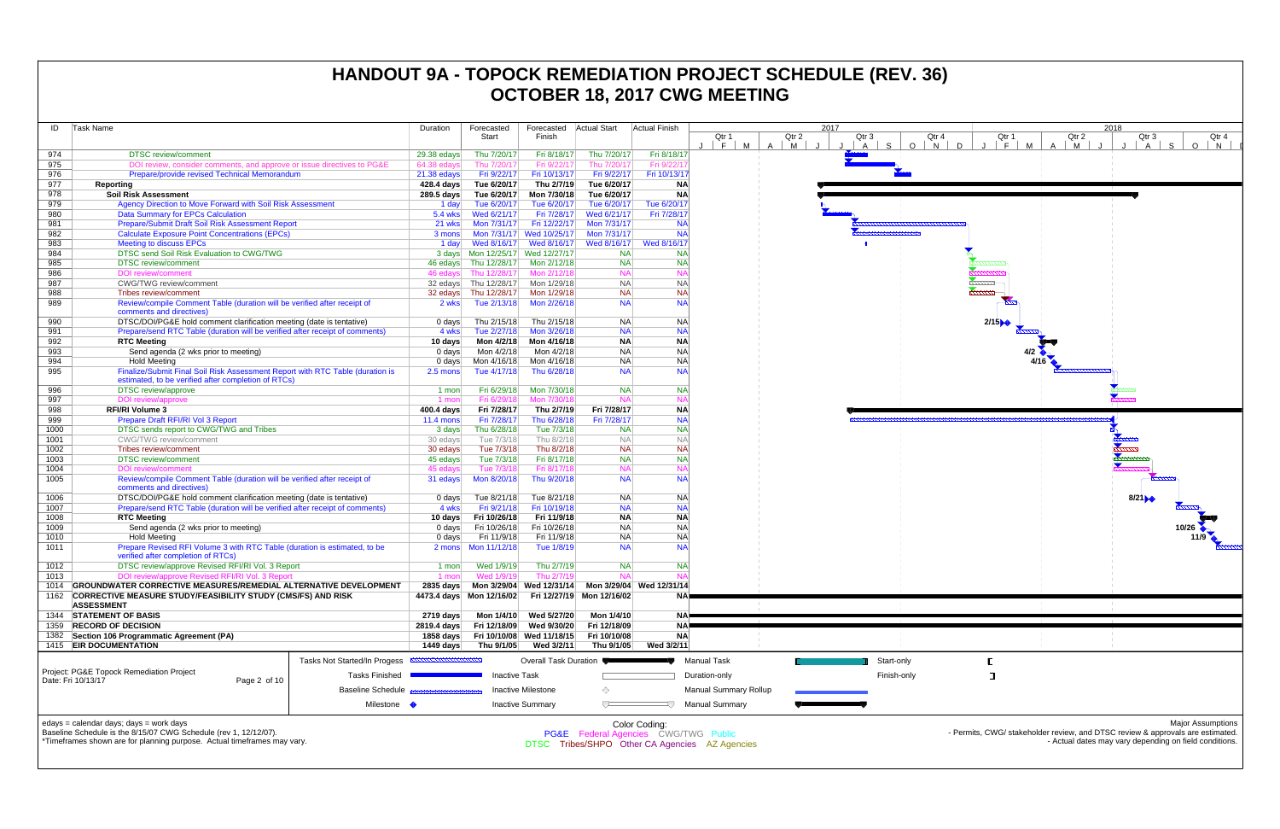| ID   | Task Name                                                                                            |                              | Duration                   | Forecasted                | Forecasted                | <b>Actual Start</b>                  | Actual Finish                |                                                |                     | 2017 |                      |              |
|------|------------------------------------------------------------------------------------------------------|------------------------------|----------------------------|---------------------------|---------------------------|--------------------------------------|------------------------------|------------------------------------------------|---------------------|------|----------------------|--------------|
|      |                                                                                                      |                              |                            | Start                     | Finish                    |                                      |                              | Qtr 1                                          | Qtr 2               |      | Qtr 3                | Qtr          |
| 974  | <b>DTSC</b> review/comment                                                                           |                              |                            | Thu 7/20/17               | Fri 8/18/17               | Thu 7/20/17                          | Fri 8/18/17                  | F<br>M                                         | $\overline{A}$<br>M |      | S.<br>$\overline{A}$ | $\circ$<br>N |
| 975  | DOI review, consider comments, and approve or issue directives to PG&E                               |                              | 29.38 edays<br>64.38 edays | Thu 7/20/17               | Fri 9/22/17               | Thu 7/20/17                          | Fri 9/22/1                   |                                                |                     |      |                      |              |
| 976  | Prepare/provide revised Technical Memorandum                                                         |                              | 21.38 edays                | Fri 9/22/17               | Fri 10/13/17              | Fri 9/22/17                          | Fri 10/13/17                 |                                                |                     |      |                      |              |
| 977  | Reporting                                                                                            |                              | 428.4 days                 | Tue 6/20/17               | Thu 2/7/19                | Tue 6/20/17                          | <b>NA</b>                    |                                                |                     |      |                      |              |
| 978  | <b>Soil Risk Assessment</b>                                                                          |                              | 289.5 days                 | Tue 6/20/17               | Mon 7/30/18               | Tue 6/20/17                          | <b>NA</b>                    |                                                |                     |      |                      |              |
| 979  | Agency Direction to Move Forward with Soil Risk Assessment                                           |                              | 1 day                      | Tue 6/20/17               | Tue 6/20/17               | Tue 6/20/17                          | Tue 6/20/17                  |                                                |                     |      |                      |              |
| 980  | <b>Data Summary for EPCs Calculation</b>                                                             |                              | 5.4 wks                    | Wed 6/21/17               | Fri 7/28/17               | Wed 6/21/17                          | Fri 7/28/17                  |                                                |                     |      |                      |              |
| 981  | Prepare/Submit Draft Soil Risk Assessment Report                                                     |                              | 21 wks                     | Mon 7/31/17               | Fri 12/22/17              | Mon 7/31/17                          | <b>NA</b>                    |                                                |                     |      |                      |              |
| 982  | <b>Calculate Exposure Point Concentrations (EPCs)</b>                                                |                              | 3 mons                     | Mon 7/31/17               | Wed 10/25/17              | Mon 7/31/17                          | <b>NA</b>                    |                                                |                     |      |                      |              |
| 983  | <b>Meeting to discuss EPCs</b>                                                                       |                              | 1 day                      | Wed 8/16/17               | Wed 8/16/17               | Wed 8/16/17                          | Wed 8/16/17                  |                                                |                     |      |                      |              |
| 984  | DTSC send Soil Risk Evaluation to CWG/TWG                                                            |                              |                            |                           |                           | <b>NA</b>                            | <b>NA</b>                    |                                                |                     |      |                      |              |
| 985  | <b>DTSC</b> review/comment                                                                           |                              |                            | 46 edays Thu 12/28/17     | Mon 2/12/18               | <b>NA</b>                            | <b>NA</b>                    |                                                |                     |      |                      |              |
| 986  | <b>DOI</b> review/comment                                                                            |                              |                            | 46 edays Thu 12/28/17     | Mon 2/12/18               | <b>NA</b>                            | N                            |                                                |                     |      |                      |              |
| 987  | <b>CWG/TWG</b> review/comment                                                                        |                              | 32 edays                   | Thu 12/28/17              | Mon 1/29/18               | <b>NA</b>                            | <b>NA</b>                    |                                                |                     |      |                      |              |
| 988  | Tribes review/comment                                                                                |                              |                            | 32 edays Thu 12/28/17     | Mon 1/29/18               | <b>NA</b>                            | <b>NA</b>                    |                                                |                     |      |                      |              |
| 989  | Review/compile Comment Table (duration will be verified after receipt of                             |                              | 2 wks                      | Tue 2/13/18               | Mon 2/26/18               | <b>NA</b>                            |                              | <b>NA</b>                                      |                     |      |                      |              |
|      | comments and directives)                                                                             |                              |                            |                           |                           |                                      |                              |                                                |                     |      |                      |              |
| 990  | DTSC/DOI/PG&E hold comment clarification meeting (date is tentative)                                 |                              | $0$ days                   | Thu 2/15/18               | Thu 2/15/18               | NA                                   | <b>NA</b>                    |                                                |                     |      |                      |              |
| 991  | Prepare/send RTC Table (duration will be verified after receipt of comments)                         |                              | 4 wks                      | Tue 2/27/18               | Mon 3/26/18               | <b>NA</b>                            | <b>NA</b>                    |                                                |                     |      |                      |              |
| 992  | <b>RTC Meeting</b>                                                                                   |                              | 10 days                    | Mon 4/2/18                | Mon 4/16/18               | <b>NA</b>                            | <b>NA</b>                    |                                                |                     |      |                      |              |
| 993  | Send agenda (2 wks prior to meeting)                                                                 |                              | $0$ days                   | Mon 4/2/18                | Mon 4/2/18                | <b>NA</b>                            | <b>NA</b>                    |                                                |                     |      |                      |              |
| 994  | <b>Hold Meeting</b>                                                                                  |                              | $0$ days                   | Mon 4/16/18               | Mon 4/16/18               | <b>NA</b>                            | <b>NA</b>                    |                                                |                     |      |                      |              |
| 995  | Finalize/Submit Final Soil Risk Assessment Report with RTC Table (duration is                        |                              | 2.5 mons                   | Tue 4/17/18               | Thu 6/28/18               | <b>NA</b>                            | <b>NA</b>                    |                                                |                     |      |                      |              |
|      | estimated, to be verified after completion of RTCs)                                                  |                              |                            |                           |                           |                                      |                              |                                                |                     |      |                      |              |
| 996  | <b>DTSC</b> review/approve                                                                           |                              | 1 mon                      | Fri 6/29/18               | Mon 7/30/18               | <b>NA</b>                            | <b>NA</b>                    |                                                |                     |      |                      |              |
| 997  | DOI review/approve                                                                                   |                              | 1 mon                      | Fri 6/29/18               | Mon 7/30/18               | <b>NA</b>                            | N                            |                                                |                     |      |                      |              |
| 998  | <b>RFI/RI Volume 3</b>                                                                               |                              | 400.4 days                 | Fri 7/28/17               | Thu 2/7/19                | Fri 7/28/17                          | <b>NA</b>                    |                                                |                     |      |                      |              |
| 999  | Prepare Draft RFI/RI Vol 3 Report                                                                    | $11.4 \text{ mon}$           | Fri 7/28/17                | Thu 6/28/18               | Fri 7/28/17               | <b>NA</b>                            |                              |                                                |                     |      |                      |              |
| 1000 | DTSC sends report to CWG/TWG and Tribes                                                              |                              | 3 days                     | Thu 6/28/18               | Tue 7/3/18                | <b>NA</b>                            | <b>NA</b>                    |                                                |                     |      |                      |              |
| 1001 | <b>CWG/TWG</b> review/comment                                                                        |                              | 30 edays                   | Tue 7/3/18                | Thu 8/2/18                | <b>NA</b>                            | $N_A$                        |                                                |                     |      |                      |              |
| 1002 | Tribes review/comment                                                                                |                              | 30 edays                   | Tue 7/3/18                | Thu 8/2/18                | <b>NA</b>                            | <b>NA</b>                    |                                                |                     |      |                      |              |
| 1003 | <b>DTSC</b> review/comment                                                                           |                              | 45 edays                   | Tue 7/3/18                | Fri 8/17/18               | <b>NA</b>                            | <b>NA</b>                    |                                                |                     |      |                      |              |
| 1004 | <b>DOI</b> review/comment                                                                            |                              | 45 edays                   | Tue 7/3/18                | Fri 8/17/18               | <b>NA</b>                            | N/                           |                                                |                     |      |                      |              |
| 1005 | Review/compile Comment Table (duration will be verified after receipt of<br>comments and directives) |                              | 31 edays                   | Mon 8/20/18               | Thu 9/20/18               | <b>NA</b>                            | <b>NA</b>                    |                                                |                     |      |                      |              |
| 1006 | DTSC/DOI/PG&E hold comment clarification meeting (date is tentative)                                 |                              | 0 days                     | Tue 8/21/18               | Tue 8/21/18               | NA                                   | <b>NA</b>                    |                                                |                     |      |                      |              |
| 1007 | Prepare/send RTC Table (duration will be verified after receipt of comments)                         |                              | 4 wks                      | Fri 9/21/18               | Fri 10/19/18              | <b>NA</b>                            | <b>NA</b>                    |                                                |                     |      |                      |              |
| 1008 | <b>RTC Meeting</b>                                                                                   |                              | 10 days                    | Fri 10/26/18              | Fri 11/9/18               | <b>NA</b>                            | <b>NA</b>                    |                                                |                     |      |                      |              |
| 1009 | Send agenda (2 wks prior to meeting)                                                                 |                              | $0$ days                   | Fri 10/26/18              | Fri 10/26/18              | <b>NA</b>                            | <b>NA</b>                    |                                                |                     |      |                      |              |
| 1010 | <b>Hold Meeting</b>                                                                                  |                              | 0 days                     | Fri 11/9/18               | Fri 11/9/18               | <b>NA</b>                            | <b>NA</b>                    |                                                |                     |      |                      |              |
| 1011 | Prepare Revised RFI Volume 3 with RTC Table (duration is estimated, to be                            |                              |                            |                           | Tue 1/8/19                | <b>NA</b>                            |                              | <b>NA</b>                                      |                     |      |                      |              |
|      | verified after completion of RTCs)                                                                   |                              |                            |                           |                           |                                      |                              |                                                |                     |      |                      |              |
| 1012 | DTSC review/approve Revised RFI/RI Vol. 3 Report                                                     |                              | 1 mon                      | Wed 1/9/19                | Thu 2/7/19                | <b>NA</b>                            | <b>NA</b>                    |                                                |                     |      |                      |              |
| 1013 | DOI review/approve Revised RFI/RI Vol. 3 Report                                                      |                              | 1 mon                      | Wed 1/9/19                | Thu 2/7/19                | <b>NA</b>                            | N                            |                                                |                     |      |                      |              |
| 1014 | <b>GROUNDWATER CORRECTIVE MEASURES/REMEDIAL ALTERNATIVE DEVELOPMENT</b>                              |                              | $2835$ days                |                           | Mon 3/29/04 Wed 12/31/14  |                                      | Mon 3/29/04 Wed 12/31/14     |                                                |                     |      |                      |              |
| 1162 | CORRECTIVE MEASURE STUDY/FEASIBILITY STUDY (CMS/FS) AND RISK                                         |                              |                            | 4473.4 days Mon 12/16/02  |                           | Fri 12/27/19 Mon 12/16/02            |                              | NA                                             |                     |      |                      |              |
|      | <b>ASSESSMENT</b>                                                                                    |                              |                            |                           |                           |                                      |                              |                                                |                     |      |                      |              |
| 1344 | <b>STATEMENT OF BASIS</b>                                                                            |                              | $2719$ days                | Mon 1/4/10                | Wed 5/27/20               | Mon 1/4/10                           |                              | <b>NA</b>                                      |                     |      |                      |              |
| 1359 | <b>RECORD OF DECISION</b>                                                                            |                              | 2819.4 days                | Fri 12/18/09              | Wed 9/30/20               | Fri 12/18/09                         |                              | <b>NA</b>                                      |                     |      |                      |              |
| 1382 | Section 106 Programmatic Agreement (PA)                                                              |                              | 1858 days                  |                           | Fri 10/10/08 Wed 11/18/15 | Fri 10/10/08                         | <b>NA</b>                    |                                                |                     |      |                      |              |
|      | 1415 <b>EIR DOCUMENTATION</b>                                                                        |                              | 1449 days                  | Thu 9/1/05                | Wed 3/2/11                | Thu 9/1/05                           | Wed 3/2/11                   |                                                |                     |      |                      |              |
|      |                                                                                                      | Tasks Not Started/In Progess | <b>MWWWWWWWWWW</b>         |                           | Overall Task Duration     |                                      |                              | <b>Manual Task</b>                             |                     |      |                      | Start-only   |
|      | Project: PG&E Topock Remediation Project                                                             |                              |                            |                           |                           |                                      |                              |                                                |                     |      |                      |              |
|      | Date: Fri 10/13/17<br>Page 2 of 10                                                                   | <b>Tasks Finished</b>        |                            | <b>Inactive Task</b>      |                           |                                      |                              | Duration-only                                  |                     |      |                      | Finish-only  |
|      |                                                                                                      |                              |                            | <b>Inactive Milestone</b> |                           |                                      | <b>Manual Summary Rollup</b> |                                                |                     |      |                      |              |
|      |                                                                                                      | <b>Baseline Schedule</b>     |                            |                           |                           |                                      |                              |                                                |                     |      |                      |              |
|      |                                                                                                      | Milestone •                  |                            |                           | <b>Inactive Summary</b>   |                                      |                              | Manual Summary                                 |                     |      |                      |              |
|      | edays = calendar days; days = work days                                                              |                              |                            |                           |                           |                                      | Color Coding:                |                                                |                     |      |                      |              |
|      | Baseline Schedule is the 8/15/07 CWG Schedule (rev 1, 12/12/07).                                     |                              |                            |                           |                           | PG&E Federal Agencies CWG/TWG Public |                              |                                                |                     |      |                      |              |
|      | *Timeframes shown are for planning purpose. Actual timeframes may vary.                              |                              |                            |                           |                           |                                      |                              | DTSC Tribes/SHPO Other CA Agencies AZ Agencies |                     |      |                      |              |
|      |                                                                                                      |                              |                            |                           |                           |                                      |                              |                                                |                     |      |                      |              |



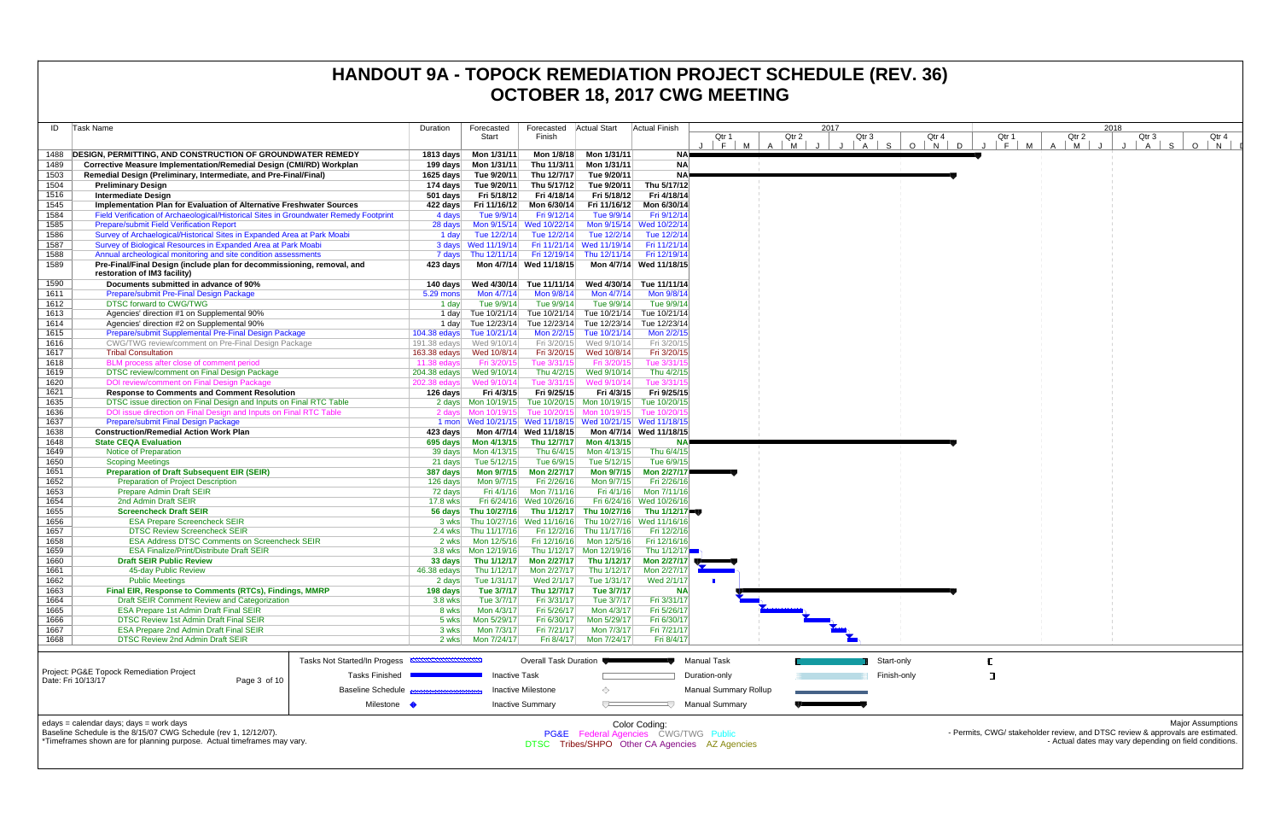|              |                                                                                                                                          |                          |                                    |                                         |                                              |                                                           | <b>UCTUBER 10, ZUTT CWG MEETING</b> |                                            |             |       |                     |                                                                                |                          |
|--------------|------------------------------------------------------------------------------------------------------------------------------------------|--------------------------|------------------------------------|-----------------------------------------|----------------------------------------------|-----------------------------------------------------------|-------------------------------------|--------------------------------------------|-------------|-------|---------------------|--------------------------------------------------------------------------------|--------------------------|
| ID           | Task Name                                                                                                                                | Duration                 | Forecasted                         | Forecasted Actual Start                 |                                              | <b>Actual Finish</b>                                      |                                     | 2017                                       |             |       | 2018                |                                                                                |                          |
|              |                                                                                                                                          |                          | Start                              | Finish                                  |                                              |                                                           | Qtr 1                               | Qtr 2<br>Qtr 3                             | Qtr 4       | Qtr 1 | Qtr 2               | Qtr 3                                                                          | Qtr 4                    |
| 1488         | <b>DESIGN, PERMITTING, AND CONSTRUCTION OF GROUNDWATER REMEDY</b>                                                                        |                          | 1813 days    Mon 1/31/11           | Mon 1/8/18                              | Mon 1/31/11                                  | <b>NA</b>                                                 | $J \mid F \mid M$<br>$A \mid M$     | $A \mid S$<br>$\mathsf{J}$<br>$\mathsf{J}$ | $O$ $N$ $O$ | J F M | M<br>$\overline{A}$ | S.<br>$\circ$<br>$\overline{A}$                                                | N.                       |
| 1489         | Corrective Measure Implementation/Remedial Design (CMI/RD) Workplan                                                                      |                          | 199 days    Mon 1/31/11            | Thu 11/3/11                             | Mon 1/31/11                                  | <b>NA</b>                                                 |                                     |                                            |             |       |                     |                                                                                |                          |
| 1503         | Remedial Design (Preliminary, Intermediate, and Pre-Final/Final)                                                                         |                          | 1625 days Tue 9/20/11              | Thu 12/7/17                             | Tue 9/20/11                                  | <b>NA</b>                                                 |                                     |                                            |             |       |                     |                                                                                |                          |
| 1504         | <b>Preliminary Design</b>                                                                                                                |                          | 174 days Tue 9/20/11               | Thu 5/17/12                             | Tue 9/20/11                                  | Thu 5/17/12                                               |                                     |                                            |             |       |                     |                                                                                |                          |
| 1516         | <b>Intermediate Design</b>                                                                                                               | $501$ days               | Fri 5/18/12                        | Fri 4/18/14                             | Fri 5/18/12                                  | Fri 4/18/14                                               |                                     |                                            |             |       |                     |                                                                                |                          |
| 1545         | Implementation Plan for Evaluation of Alternative Freshwater Sources                                                                     | 422 days                 | Fri 11/16/12                       | Mon 6/30/14                             | Fri 11/16/12                                 | Mon 6/30/14                                               |                                     |                                            |             |       |                     |                                                                                |                          |
| 1584<br>1585 | Field Verification of Archaeological/Historical Sites in Groundwater Remedy Footprint<br><b>Prepare/submit Field Verification Report</b> | 4 days<br>28 days        | Tue 9/9/14                         | Fri 9/12/14<br>Mon 9/15/14 Wed 10/22/14 | Tue 9/9/14                                   | Fri 9/12/14<br>Mon 9/15/14 Wed 10/22/14                   |                                     |                                            |             |       |                     |                                                                                |                          |
| 1586         | Survey of Archaelogical/Historical Sites in Expanded Area at Park Moabi                                                                  | 1 day                    | Tue 12/2/14                        |                                         | Tue 12/2/14 Tue 12/2/14                      | Tue 12/2/14                                               |                                     |                                            |             |       |                     |                                                                                |                          |
| 1587         | Survey of Biological Resources in Expanded Area at Park Moabi                                                                            |                          | 3 days Wed 11/19/14                |                                         | Fri 11/21/14 Wed 11/19/14                    | Fri 11/21/14                                              |                                     |                                            |             |       |                     |                                                                                |                          |
| 1588         | Annual archeological monitoring and site condition assessments                                                                           |                          | 7 days Thu 12/11/14                |                                         | Fri 12/19/14 Thu 12/11/14                    | Fri 12/19/14                                              |                                     |                                            |             |       |                     |                                                                                |                          |
| 1589         | Pre-Final/Final Design (include plan for decommissioning, removal, and<br>restoration of IM3 facility)                                   | 423 days                 |                                    | Mon 4/7/14 Wed 11/18/15                 |                                              | Mon 4/7/14 Wed 11/18/15                                   |                                     |                                            |             |       |                     |                                                                                |                          |
| 1590         | Documents submitted in advance of 90%                                                                                                    |                          |                                    |                                         | Wed 4/30/14                                  | Tue 11/11/14                                              |                                     |                                            |             |       |                     |                                                                                |                          |
| 1611         | <b>Prepare/submit Pre-Final Design Package</b>                                                                                           | 5.29 mons                | Mon 4/7/14                         | Mon 9/8/14                              | Mon 4/7/14                                   | Mon 9/8/14                                                |                                     |                                            |             |       |                     |                                                                                |                          |
| 1612         | <b>DTSC forward to CWG/TWG</b>                                                                                                           | 1 day                    | Tue 9/9/14                         | Tue 9/9/14                              | Tue 9/9/14                                   | Tue 9/9/14                                                |                                     |                                            |             |       |                     |                                                                                |                          |
| 1613<br>1614 | Agencies' direction #1 on Supplemental 90%<br>Agencies' direction #2 on Supplemental 90%                                                 |                          |                                    |                                         | 1 day Tue 10/21/14 Tue 10/21/14 Tue 10/21/14 | Tue 10/21/14<br>Tue 12/23/14 Tue 12/23/14 Tue 12/23/14    |                                     |                                            |             |       |                     |                                                                                |                          |
| 1615         | Prepare/submit Supplemental Pre-Final Design Package                                                                                     | $104.38$ edays           | 1 day Tue 12/23/14<br>Tue 10/21/14 |                                         | Mon 2/2/15 Tue 10/21/14                      | Mon 2/2/15                                                |                                     |                                            |             |       |                     |                                                                                |                          |
| 1616         | CWG/TWG review/comment on Pre-Final Design Package                                                                                       |                          | 191.38 edays Wed 9/10/14           |                                         | Fri 3/20/15 Wed 9/10/14                      | Fri 3/20/15                                               |                                     |                                            |             |       |                     |                                                                                |                          |
| 1617         | <b>Tribal Consultation</b>                                                                                                               |                          |                                    | Fri 3/20/15                             | Wed 10/8/14                                  | Fri 3/20/15                                               |                                     |                                            |             |       |                     |                                                                                |                          |
| 1618         | BLM process after close of comment period                                                                                                | $11.38$ edavs            | Fri 3/20/15                        | Tue 3/31/15                             | Fri 3/20/15                                  | Tue 3/31/1                                                |                                     |                                            |             |       |                     |                                                                                |                          |
| 1619         | DTSC review/comment on Final Design Package                                                                                              | 204.38 edays             | Wed 9/10/14                        | Thu 4/2/15                              | Wed 9/10/14                                  | Thu 4/2/15                                                |                                     |                                            |             |       |                     |                                                                                |                          |
| 1620<br>1621 | DOI review/comment on Final Design Package<br><b>Response to Comments and Comment Resolution</b>                                         | 202.38 edays<br>126 days | Wed 9/10/14<br>Fri 4/3/15          | Tue 3/31/15<br>Fri 9/25/15              | Wed 9/10/14<br>Fri 4/3/15                    | Tue 3/31/1<br>Fri 9/25/15                                 |                                     |                                            |             |       |                     |                                                                                |                          |
| 1635         | DTSC issue direction on Final Design and Inputs on Final RTC Table                                                                       |                          |                                    |                                         |                                              | Tue 10/20/15 Mon 10/19/15 Tue 10/20/15                    |                                     |                                            |             |       |                     |                                                                                |                          |
| 1636         | DOI issue direction on Final Design and Inputs on Final RTC Table                                                                        |                          | 2 days Mon 10/19/15                |                                         | Tue 10/20/15 Mon 10/19/15 Tue 10/20/1        |                                                           |                                     |                                            |             |       |                     |                                                                                |                          |
| 1637         | <b>Prepare/submit Final Design Package</b>                                                                                               |                          |                                    |                                         |                                              | 1 mon Wed 10/21/15 Wed 11/18/15 Wed 10/21/15 Wed 11/18/15 |                                     |                                            |             |       |                     |                                                                                |                          |
| 1638         | <b>Construction/Remedial Action Work Plan</b>                                                                                            | 423 days                 |                                    | Mon 4/7/14 Wed 11/18/15                 |                                              | Mon 4/7/14 Wed 11/18/15                                   |                                     |                                            |             |       |                     |                                                                                |                          |
| 1648<br>1649 | <b>State CEQA Evaluation</b><br>Notice of Preparation                                                                                    | 695 days                 | Mon 4/13/15<br>Mon 4/13/15         | Thu 6/4/15                              | Thu 12/7/17 Mon 4/13/15<br>Mon 4/13/15       |                                                           |                                     |                                            |             |       |                     |                                                                                |                          |
| 1650         | <b>Scoping Meetings</b>                                                                                                                  | 39 days<br>21 days       | Tue 5/12/15                        | Tue 6/9/15                              | Tue 5/12/15                                  | Thu 6/4/15<br>Tue 6/9/15                                  |                                     |                                            |             |       |                     |                                                                                |                          |
| 1651         | <b>Preparation of Draft Subsequent EIR (SEIR)</b>                                                                                        | 387 days                 | Mon 9/7/15                         | Mon 2/27/17                             | <b>Mon 9/7/15</b>                            | Mon 2/27/17                                               |                                     |                                            |             |       |                     |                                                                                |                          |
| 1652         | <b>Preparation of Project Description</b>                                                                                                | 126 days                 | Mon 9/7/15                         | Fri 2/26/16                             | Mon 9/7/15                                   | Fri 2/26/16                                               |                                     |                                            |             |       |                     |                                                                                |                          |
| 1653         | <b>Prepare Admin Draft SEIR</b>                                                                                                          | 72 days                  | Fri 4/1/16                         | Mon 7/11/16                             | Fri 4/1/16                                   | Mon 7/11/16                                               |                                     |                                            |             |       |                     |                                                                                |                          |
| 1654         | 2nd Admin Draft SEIR                                                                                                                     | 17.8 wks                 |                                    | Fri 6/24/16 Wed 10/26/16                |                                              | Fri 6/24/16 Wed 10/26/16                                  |                                     |                                            |             |       |                     |                                                                                |                          |
| 1655<br>1656 | <b>Screencheck Draft SEIR</b><br><b>ESA Prepare Screencheck SEIR</b>                                                                     | 3 wks                    | 56 days Thu 10/27/16               | Thu 10/27/16 Wed 11/16/16               | Thu 1/12/17 Thu 10/27/16                     | Thu 1/12/17 ■<br>Thu 10/27/16 Wed 11/16/16                |                                     |                                            |             |       |                     |                                                                                |                          |
| 1657         | <b>DTSC Review Screencheck SEIR</b>                                                                                                      | 2.4 wks                  | Thu 11/17/16                       |                                         | Fri 12/2/16 Thu 11/17/16                     | Fri 12/2/16                                               |                                     |                                            |             |       |                     |                                                                                |                          |
| 1658         | <b>ESA Address DTSC Comments on Screencheck SEIR</b>                                                                                     | 2 wks                    | Mon 12/5/16                        | Fri 12/16/16                            | Mon 12/5/16                                  | Fri 12/16/16                                              |                                     |                                            |             |       |                     |                                                                                |                          |
| 1659         | <b>ESA Finalize/Print/Distribute Draft SEIR</b>                                                                                          |                          | 3.8 wks   Mon 12/19/16             |                                         | Thu 1/12/17 Mon 12/19/16                     | Thu $1/12/17$                                             |                                     |                                            |             |       |                     |                                                                                |                          |
| 1660         | <b>Draft SEIR Public Review</b>                                                                                                          | 33 days                  |                                    |                                         |                                              | Thu 1/12/17 Mon 2/27/17 Thu 1/12/17 Mon 2/27/17 ♥         |                                     |                                            |             |       |                     |                                                                                |                          |
| 1661<br>1662 | 45-day Public Review<br><b>Public Meetings</b>                                                                                           | 46.38 edays              | Thu 1/12/17<br>Tue 1/31/17         | Mon 2/27/17<br>Wed 2/1/17               | Thu 1/12/17<br>Tue 1/31/17                   | Mon 2/27/17<br>Wed 2/1/17                                 |                                     |                                            |             |       |                     |                                                                                |                          |
| 1663         | Final EIR, Response to Comments (RTCs), Findings, MMRP                                                                                   | 2 days<br>198 days       | Tue 3/7/17                         | Thu 12/7/17                             | Tue 3/7/17                                   | <b>NA</b>                                                 |                                     |                                            |             |       |                     |                                                                                |                          |
| 1664         | Draft SEIR Comment Review and Categorization                                                                                             | 3.8 wks                  | Tue 3/7/17                         | Fri 3/31/17                             | Tue 3/7/17                                   | Fri 3/31/17                                               |                                     |                                            |             |       |                     |                                                                                |                          |
| 1665         | <b>ESA Prepare 1st Admin Draft Final SEIR</b>                                                                                            | 8 wks                    | Mon 4/3/17                         | Fri 5/26/17                             | Mon 4/3/17                                   | Fri 5/26/17                                               |                                     |                                            |             |       |                     |                                                                                |                          |
| 1666         | <b>DTSC Review 1st Admin Draft Final SEIR</b>                                                                                            | 5 wks                    | Mon 5/29/17                        | Fri 6/30/17                             | Mon 5/29/17                                  | Fri 6/30/17                                               |                                     |                                            |             |       |                     |                                                                                |                          |
| 1667         | ESA Prepare 2nd Admin Draft Final SEIR                                                                                                   | 3 wks                    | Mon 7/3/17                         | Fri 7/21/17                             | Mon 7/3/17                                   | Fri 7/21/17                                               |                                     |                                            |             |       |                     |                                                                                |                          |
| 1668         | <b>DTSC Review 2nd Admin Draft SEIR</b>                                                                                                  | 2 wks                    | Mon 7/24/17                        | Fri 8/4/17                              | Mon 7/24/17                                  | Fri 8/4/17                                                |                                     |                                            |             |       |                     |                                                                                |                          |
|              | Tasks Not Started/In Progess <b>EXAMPLE IN THE REA</b>                                                                                   |                          |                                    | Overall Task Duration                   |                                              |                                                           | Manual Task                         |                                            | Start-only  |       |                     |                                                                                |                          |
|              | <b>Project: PG&amp;E Topock Remediation Project</b><br><b>Tasks Finished</b>                                                             |                          | <b>Inactive Task</b>               |                                         |                                              |                                                           | Duration-only                       |                                            | Finish-only | ு     |                     |                                                                                |                          |
|              | Date: Fri 10/13/17<br>Page 3 of 10<br><b>Baseline Schedule</b>                                                                           |                          |                                    | Inactive Milestone                      | ◇                                            |                                                           | <b>Manual Summary Rollup</b>        |                                            |             |       |                     |                                                                                |                          |
|              | Milestone $\blacklozenge$                                                                                                                |                          |                                    | <b>Inactive Summary</b>                 | $\overline{C}$                               |                                                           | <b>Manual Summary</b>               |                                            |             |       |                     |                                                                                |                          |
|              | edays = calendar days; days = work days                                                                                                  |                          |                                    |                                         |                                              | Color Coding:                                             |                                     |                                            |             |       |                     |                                                                                | <b>Major Assumptions</b> |
|              | Baseline Schedule is the 8/15/07 CWG Schedule (rev 1, 12/12/07).                                                                         |                          |                                    |                                         |                                              | PG&E Federal Agencies CWG/TWG Public                      |                                     |                                            |             |       |                     | - Permits, CWG/ stakeholder review, and DTSC review & approvals are estimated. |                          |
|              | *Timeframes shown are for planning purpose. Actual timeframes may vary.                                                                  |                          |                                    |                                         |                                              | DTSC Tribes/SHPO Other CA Agencies AZ Agencies            |                                     |                                            |             |       |                     | - Actual dates may vary depending on field conditions.                         |                          |
|              |                                                                                                                                          |                          |                                    |                                         |                                              |                                                           |                                     |                                            |             |       |                     |                                                                                |                          |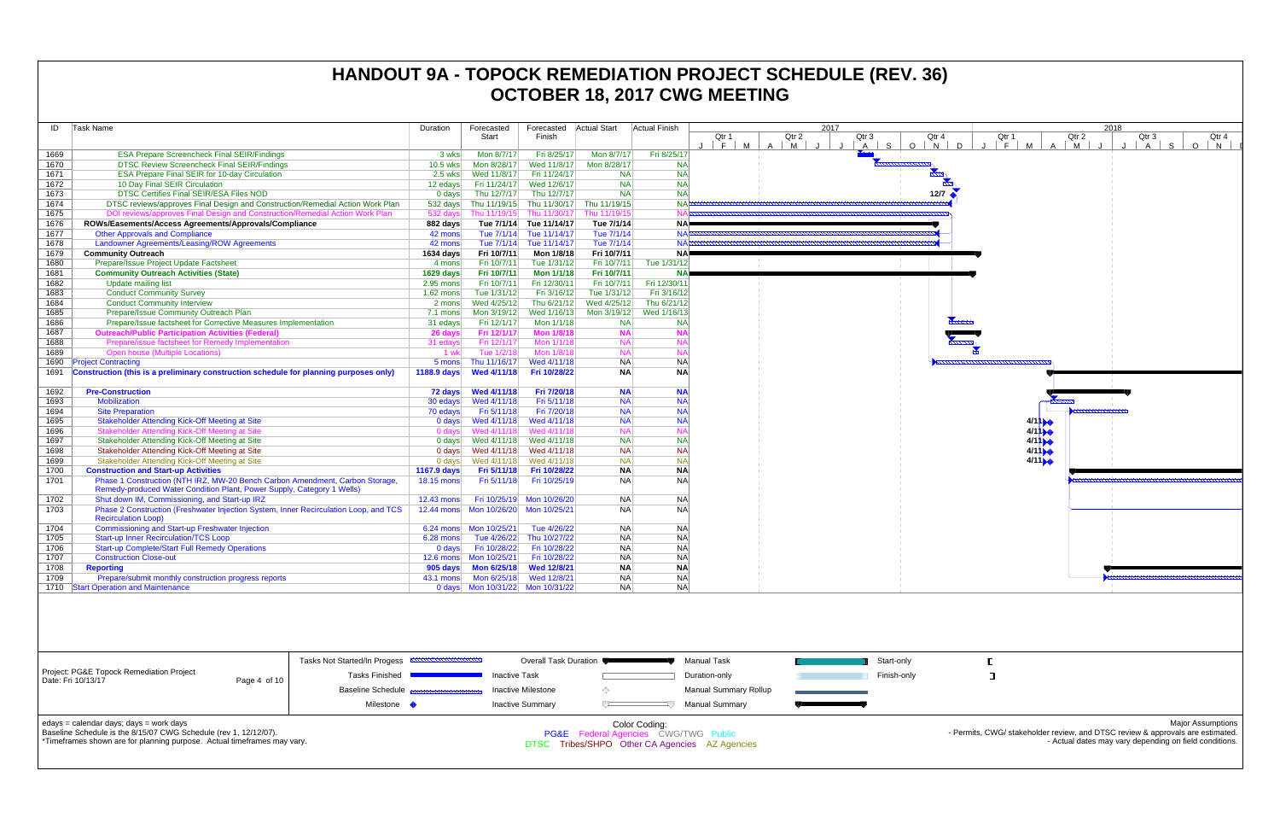| ID   | Task Name                                                                                                                                              | Duration    | Forecasted                             | Forecasted                | <b>Actual Start</b>       | <b>Actual Finish</b> |                             | 2017                                                                                       |
|------|--------------------------------------------------------------------------------------------------------------------------------------------------------|-------------|----------------------------------------|---------------------------|---------------------------|----------------------|-----------------------------|--------------------------------------------------------------------------------------------|
|      |                                                                                                                                                        |             | Start                                  | Finish                    |                           |                      | Qtr 1<br>$F \parallel$<br>M | Qtr 2<br>Qtr 4<br>Qtr 3<br>S.<br>$O$ $N$<br>M<br>$\mathsf{A}$<br>$\overline{A}$<br>$\cdot$ |
| 1669 | <b>ESA Prepare Screencheck Final SEIR/Findings</b>                                                                                                     | 3 wks       | Mon 8/7/17                             | Fri 8/25/17               | Mon 8/7/17                | Fri 8/25/17          |                             |                                                                                            |
| 1670 | <b>DTSC Review Screencheck Final SEIR/Findings</b>                                                                                                     | 10.5 wks    | Mon 8/28/17                            | Wed 11/8/17               | Mon 8/28/17               | <b>NAI</b>           |                             |                                                                                            |
| 1671 | ESA Prepare Final SEIR for 10-day Circulation                                                                                                          | 2.5 wks     | Wed 11/8/17                            | Fri 11/24/17              | <b>NA</b>                 | <b>NA</b>            |                             | $\frac{1}{2}$                                                                              |
| 1672 | 10 Day Final SEIR Circulation                                                                                                                          | 12 edays    | Fri 11/24/17                           | Wed 12/6/17               | <b>NA</b>                 | <b>NA</b>            |                             |                                                                                            |
| 1673 | <b>DTSC Certifies Final SEIR/ESA Files NOD</b>                                                                                                         | $0$ days    | Thu 12/7/17                            | Thu 12/7/17               | <b>NA</b>                 | <b>NA</b>            |                             | 12/7                                                                                       |
| 1674 | DTSC reviews/approves Final Design and Construction/Remedial Action Work Plan                                                                          | 532 days    | Thu 11/19/15                           |                           | Thu 11/30/17 Thu 11/19/15 | <b>NAP</b>           |                             |                                                                                            |
| 1675 | DOI reviews/approves Final Design and Construction/Remedial Action Work Plan                                                                           | 532 days    | Thu 11/19/15                           | Thu 11/30/17              | Thu 11/19/15              | <b>NAF</b>           |                             |                                                                                            |
| 1676 | ROWs/Easements/Access Agreements/Approvals/Compliance                                                                                                  | 882 days    |                                        | Tue 7/1/14 Tue 11/14/17   | Tue 7/1/14                | <b>NA</b>            |                             |                                                                                            |
| 1677 | <b>Other Approvals and Compliance</b>                                                                                                                  | 42 mons     |                                        | Tue 7/1/14 Tue 11/14/17   | Tue 7/1/14                | <b>NA</b>            |                             |                                                                                            |
| 1678 | Landowner Agreements/Leasing/ROW Agreements                                                                                                            | 42 mons     |                                        | Tue 7/1/14 Tue 11/14/17   | Tue 7/1/14                | <b>NA</b>            |                             |                                                                                            |
| 1679 | <b>Community Outreach</b>                                                                                                                              | 1634 days   | Fri 10/7/11                            | Mon 1/8/18                | Fri 10/7/11               | NA)                  |                             |                                                                                            |
| 1680 | Prepare/Issue Project Update Factsheet                                                                                                                 | 4 mons      | Fri 10/7/11                            | Tue 1/31/12               | Fri 10/7/11               | Tue 1/31/12          |                             |                                                                                            |
| 1681 | <b>Community Outreach Activities (State)</b>                                                                                                           | $1629$ days | Fri 10/7/11                            | <b>Mon 1/1/18</b>         | Fri 10/7/11               | <b>NA</b>            |                             |                                                                                            |
| 1682 | <b>Update mailing list</b>                                                                                                                             | 2.95 mons   | Fri 10/7/11                            | Fri 12/30/11              | Fri 10/7/11               | Fri 12/30/11         |                             |                                                                                            |
| 1683 | <b>Conduct Community Survey</b>                                                                                                                        | $1.62$ mons | Tue 1/31/12                            | Fri 3/16/12               | Tue 1/31/12               | Fri 3/16/12          |                             |                                                                                            |
| 1684 | <b>Conduct Community Interview</b>                                                                                                                     | 2 mons      | Wed 4/25/12                            | Thu 6/21/12               | Wed 4/25/12               | Thu 6/21/12          |                             |                                                                                            |
| 1685 | Prepare/Issue Community Outreach Plan                                                                                                                  | 7.1 mons    | Mon 3/19/12                            | Wed 1/16/13               | Mon 3/19/12               | Wed 1/16/13          |                             |                                                                                            |
| 1686 | Prepare/Issue factsheet for Corrective Measures Implementation                                                                                         | 31 edays    | Fri 12/1/17                            | Mon 1/1/18                | <b>NA</b>                 | NA                   |                             |                                                                                            |
| 1687 | <b>Outreach/Public Participation Activities (Federal)</b>                                                                                              | 26 days     | Fri 12/1/17                            | <b>Mon 1/8/18</b>         | <b>NA</b>                 | <b>NA</b>            |                             |                                                                                            |
| 1688 | Prepare/issue factsheet for Remedy Implementation                                                                                                      | 31 edays    | Fri 12/1/17                            | Mon 1/1/18                | <b>NA</b>                 | <b>NA</b>            |                             |                                                                                            |
| 1689 | <b>Open house (Multiple Locations)</b>                                                                                                                 | 1 wk        | Tue 1/2/18                             | Mon 1/8/18                | <b>NA</b>                 | <b>NA</b>            |                             |                                                                                            |
| 1690 | <b>Project Contracting</b>                                                                                                                             | 5 mons      | Thu 11/16/17                           | Wed 4/11/18               | <b>NA</b>                 | <b>NA</b>            |                             |                                                                                            |
| 1691 | Construction (this is a preliminary construction schedule for planning purposes only)                                                                  | 1188.9 days | Wed 4/11/18                            | Fri 10/28/22              | <b>NA</b>                 | <b>NA</b>            |                             |                                                                                            |
|      |                                                                                                                                                        |             |                                        |                           |                           |                      |                             |                                                                                            |
| 1692 | <b>Pre-Construction</b>                                                                                                                                | 72 days     | <b>Wed 4/11/18</b>                     | Fri 7/20/18               | <b>NA</b>                 | <b>NA</b>            |                             |                                                                                            |
| 1693 | Mobilization                                                                                                                                           | 30 edays    | Wed 4/11/18                            | Fri 5/11/18               | <b>NA</b>                 | <b>NA</b>            |                             |                                                                                            |
| 1694 | <b>Site Preparation</b>                                                                                                                                | 70 edays    | Fri 5/11/18                            | Fri 7/20/18               | <b>NA</b>                 | <b>NA</b>            |                             |                                                                                            |
| 1695 | <b>Stakeholder Attending Kick-Off Meeting at Site</b>                                                                                                  | $0$ days    | Wed 4/11/18                            | Wed 4/11/18               | <b>NA</b>                 | <b>NA</b>            |                             |                                                                                            |
| 1696 | Stakeholder Attending Kick-Off Meeting at Site                                                                                                         | 0 days      | Wed 4/11/18                            | Wed 4/11/18               | <b>NA</b>                 | <b>NA</b>            |                             |                                                                                            |
| 1697 | Stakeholder Attending Kick-Off Meeting at Site                                                                                                         | $0$ days    | Wed 4/11/18                            | Wed 4/11/18               | <b>NA</b>                 | <b>NA</b>            |                             |                                                                                            |
| 1698 | Stakeholder Attending Kick-Off Meeting at Site                                                                                                         | 0 days      | Wed 4/11/18                            | Wed 4/11/18               | <b>NA</b>                 | <b>NA</b>            |                             |                                                                                            |
| 1699 | Stakeholder Attending Kick-Off Meeting at Site                                                                                                         | $0$ days    | Wed 4/11/18                            | Wed 4/11/18               | <b>NA</b>                 | <b>NA</b>            |                             |                                                                                            |
| 1700 | <b>Construction and Start-up Activities</b>                                                                                                            | 1167.9 days | Fri 5/11/18                            | Fri 10/28/22              | <b>NA</b>                 | <b>NA</b>            |                             |                                                                                            |
| 1701 | Phase 1 Construction (NTH IRZ, MW-20 Bench Carbon Amendment, Carbon Storage,<br>Remedy-produced Water Condition Plant, Power Supply, Category 1 Wells) | 18.15 mons  | Fri 5/11/18                            | Fri 10/25/19              | <b>NA</b>                 | <b>NA</b>            |                             |                                                                                            |
| 1702 | Shut down IM, Commissioning, and Start-up IRZ                                                                                                          | 12.43 mons  |                                        | Fri 10/25/19 Mon 10/26/20 | <b>NA</b>                 | <b>NA</b>            |                             |                                                                                            |
| 1703 | Phase 2 Construction (Freshwater Injection System, Inner Recirculation Loop, and TCS<br><b>Recirculation Loop)</b>                                     | 12.44 mons  | Mon 10/26/20                           | Mon 10/25/21              | <b>NA</b>                 | <b>NA</b>            |                             |                                                                                            |
| 1704 | Commissioning and Start-up Freshwater Injection                                                                                                        |             |                                        | Tue 4/26/22               | <b>NA</b>                 | <b>NA</b>            |                             |                                                                                            |
| 1705 | <b>Start-up Inner Recirculation/TCS Loop</b>                                                                                                           | $6.28$ mons | Tue 4/26/22                            | Thu 10/27/22              | <b>NA</b>                 | <b>NA</b>            |                             |                                                                                            |
| 1706 | <b>Start-up Complete/Start Full Remedy Operations</b>                                                                                                  | $0$ days    | Fri 10/28/22                           | Fri 10/28/22              | <b>NA</b>                 | <b>NA</b>            |                             |                                                                                            |
| 1707 | <b>Construction Close-out</b>                                                                                                                          | $12.6$ mons | Mon 10/25/21                           | Fri 10/28/22              | <b>NA</b>                 | <b>NA</b>            |                             |                                                                                            |
| 1708 | <b>Reporting</b>                                                                                                                                       | 905 days    | <b>Mon 6/25/18</b>                     | <b>Wed 12/8/21</b>        | <b>NA</b>                 | <b>NA</b>            |                             |                                                                                            |
| 1709 | Prepare/submit monthly construction progress reports                                                                                                   | 43.1 mons   | Mon 6/25/18                            | Wed 12/8/21               | <b>NA</b>                 | <b>NA</b>            |                             |                                                                                            |
|      | 1710 Start Operation and Maintenance                                                                                                                   |             | 0 days    Mon 10/31/22    Mon 10/31/22 |                           | <b>NA</b>                 | <b>NA</b>            |                             |                                                                                            |
|      |                                                                                                                                                        |             |                                        |                           |                           |                      |                             |                                                                                            |
|      |                                                                                                                                                        |             |                                        |                           |                           |                      |                             |                                                                                            |



|                                                                                                                                                                                        |                  | Tasks Not Started/In Progess <b>EXPERIMENTAL READS</b> | Overall Task Duration                                                                                              |  | Manual Task           |  | Start-only  |  |  |  |  |
|----------------------------------------------------------------------------------------------------------------------------------------------------------------------------------------|------------------|--------------------------------------------------------|--------------------------------------------------------------------------------------------------------------------|--|-----------------------|--|-------------|--|--|--|--|
| Project: PG&E Topock Remediation Project<br>Date: Fri 10/13/17                                                                                                                         | Page 4 of 10 $ $ | Tasks Finished                                         | <b>Inactive Task</b>                                                                                               |  | Duration-only         |  | Finish-only |  |  |  |  |
|                                                                                                                                                                                        |                  | Baseline Schedule <b>Bassenssenssenssens</b>           | Inactive Milestone                                                                                                 |  | Manual Summary Rollup |  |             |  |  |  |  |
|                                                                                                                                                                                        |                  | Milestone                                              | <b>Inactive Summary</b>                                                                                            |  | Manual Summarv        |  |             |  |  |  |  |
| edays = calendar days; days = work days<br>Baseline Schedule is the 8/15/07 CWG Schedule (rev 1, 12/12/07).<br>*Timeframes shown are for planning purpose. Actual timeframes may vary. |                  |                                                        | Color Coding:<br><b>PG&amp;E</b> Federal Agencies CWG/TWG Public<br>DTSC Tribes/SHPO Other CA Agencies AZ Agencies |  |                       |  |             |  |  |  |  |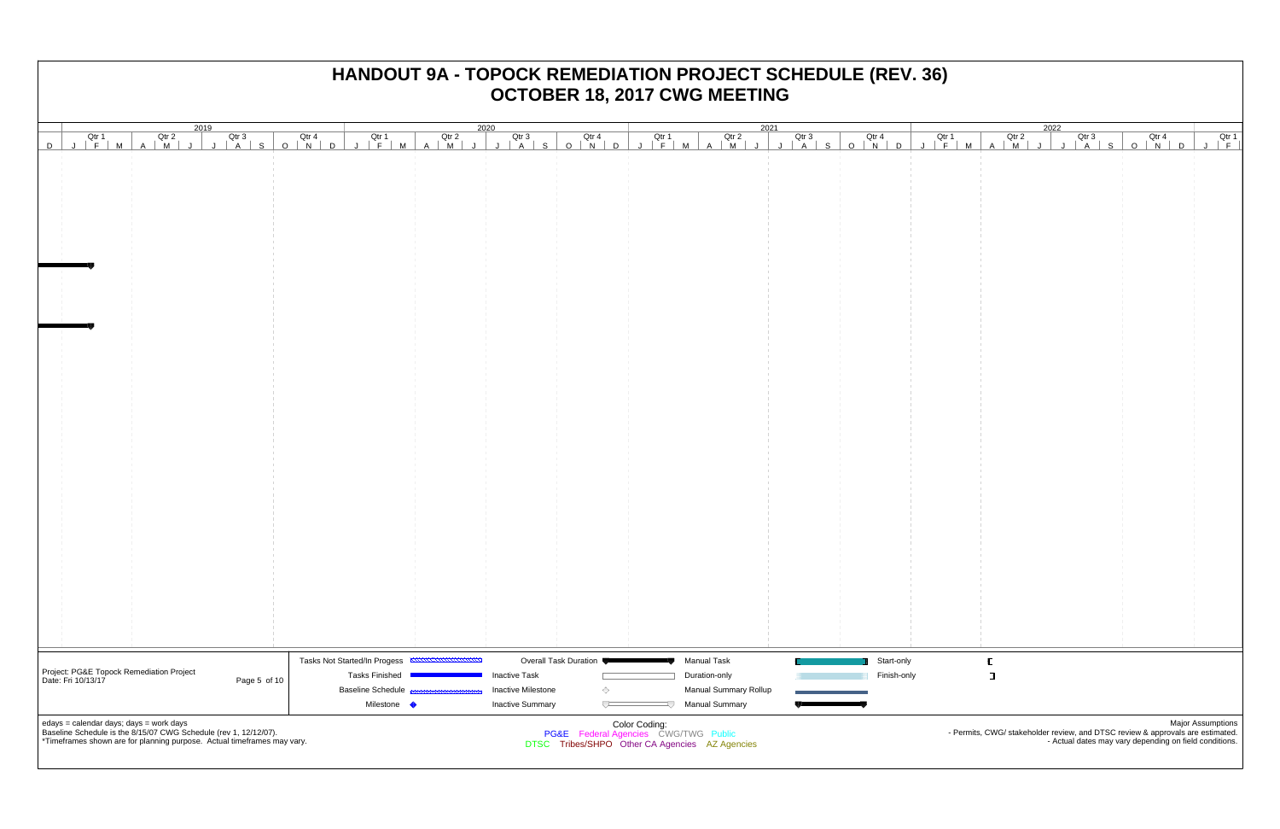| 2019<br>JFMAMJJJASONDJFMAMJJJASONDJFMAMJJJASONDJFMAMJJJASONDJFMAMJJJASONDJFMAMJJ<br>JFMAMJJJASONDJFMAMJJJASONDJFMAMJJJASONDJFMAMJJASONDJFMAMJ                                          |                              |                       |               |                                                                                                   |             |                | 2022                                                                                                                                     |                          |
|----------------------------------------------------------------------------------------------------------------------------------------------------------------------------------------|------------------------------|-----------------------|---------------|---------------------------------------------------------------------------------------------------|-------------|----------------|------------------------------------------------------------------------------------------------------------------------------------------|--------------------------|
| D                                                                                                                                                                                      |                              |                       |               |                                                                                                   |             |                | Otr 3<br>J   A   S   O   N   D   J   F                                                                                                   |                          |
|                                                                                                                                                                                        |                              |                       |               |                                                                                                   |             |                |                                                                                                                                          |                          |
|                                                                                                                                                                                        |                              |                       |               |                                                                                                   |             |                |                                                                                                                                          |                          |
|                                                                                                                                                                                        |                              |                       |               |                                                                                                   |             |                |                                                                                                                                          |                          |
|                                                                                                                                                                                        |                              |                       |               |                                                                                                   |             |                |                                                                                                                                          |                          |
|                                                                                                                                                                                        |                              |                       |               |                                                                                                   |             |                |                                                                                                                                          |                          |
|                                                                                                                                                                                        |                              |                       |               |                                                                                                   |             |                |                                                                                                                                          |                          |
|                                                                                                                                                                                        |                              |                       |               |                                                                                                   |             |                |                                                                                                                                          |                          |
|                                                                                                                                                                                        |                              |                       |               |                                                                                                   |             |                |                                                                                                                                          |                          |
|                                                                                                                                                                                        |                              |                       |               |                                                                                                   |             |                |                                                                                                                                          |                          |
|                                                                                                                                                                                        |                              |                       |               |                                                                                                   |             |                |                                                                                                                                          |                          |
|                                                                                                                                                                                        |                              |                       |               |                                                                                                   |             |                |                                                                                                                                          |                          |
|                                                                                                                                                                                        |                              |                       |               |                                                                                                   |             |                |                                                                                                                                          |                          |
|                                                                                                                                                                                        |                              |                       |               |                                                                                                   |             |                |                                                                                                                                          |                          |
|                                                                                                                                                                                        |                              |                       |               |                                                                                                   |             |                |                                                                                                                                          |                          |
|                                                                                                                                                                                        |                              |                       |               |                                                                                                   |             |                |                                                                                                                                          |                          |
|                                                                                                                                                                                        |                              |                       |               |                                                                                                   |             |                |                                                                                                                                          |                          |
|                                                                                                                                                                                        |                              |                       |               |                                                                                                   |             |                |                                                                                                                                          |                          |
|                                                                                                                                                                                        |                              |                       |               |                                                                                                   |             |                |                                                                                                                                          |                          |
|                                                                                                                                                                                        |                              |                       |               |                                                                                                   |             |                |                                                                                                                                          |                          |
|                                                                                                                                                                                        |                              |                       |               |                                                                                                   |             |                |                                                                                                                                          |                          |
|                                                                                                                                                                                        |                              |                       |               |                                                                                                   |             |                |                                                                                                                                          |                          |
|                                                                                                                                                                                        |                              |                       |               |                                                                                                   |             |                |                                                                                                                                          |                          |
|                                                                                                                                                                                        |                              |                       |               |                                                                                                   |             |                |                                                                                                                                          |                          |
|                                                                                                                                                                                        |                              |                       |               |                                                                                                   |             |                |                                                                                                                                          |                          |
|                                                                                                                                                                                        |                              |                       |               |                                                                                                   |             |                |                                                                                                                                          |                          |
|                                                                                                                                                                                        |                              |                       |               |                                                                                                   |             |                |                                                                                                                                          |                          |
|                                                                                                                                                                                        |                              |                       |               |                                                                                                   |             |                |                                                                                                                                          |                          |
|                                                                                                                                                                                        |                              |                       |               |                                                                                                   |             |                |                                                                                                                                          |                          |
|                                                                                                                                                                                        |                              |                       |               |                                                                                                   |             |                |                                                                                                                                          |                          |
|                                                                                                                                                                                        |                              |                       |               |                                                                                                   |             |                |                                                                                                                                          |                          |
|                                                                                                                                                                                        |                              |                       |               |                                                                                                   |             |                |                                                                                                                                          |                          |
|                                                                                                                                                                                        |                              |                       |               |                                                                                                   |             |                |                                                                                                                                          |                          |
|                                                                                                                                                                                        |                              |                       |               |                                                                                                   |             |                |                                                                                                                                          |                          |
| Project: PG&E Topock Remediation Project                                                                                                                                               | Tasks Not Started/In Progess | Overall Task Duration |               | <b>Manual Task</b>                                                                                | Start-only  |                |                                                                                                                                          |                          |
| Date: Fri 10/13/17<br>Page 5 of 10                                                                                                                                                     | <b>Tasks Finished</b>        | <b>Inactive Task</b>  |               | Duration-only                                                                                     | Finish-only | $\blacksquare$ |                                                                                                                                          |                          |
|                                                                                                                                                                                        | <b>Baseline Schedule</b>     | Inactive Milestone    | ◇             | <b>Manual Summary Rollup</b>                                                                      |             |                |                                                                                                                                          |                          |
|                                                                                                                                                                                        | Milestone •                  | Inactive Summary      | ᅮ             | <b>Manual Summary</b>                                                                             |             |                |                                                                                                                                          |                          |
| edays = calendar days; days = work days<br>Baseline Schedule is the 8/15/07 CWG Schedule (rev 1, 12/12/07).<br>*Timeframes shown are for planning purpose. Actual timeframes may vary. |                              |                       | Color Coding: | <b>PG&amp;E</b> Federal Agencies CWG/TWG Public<br>DTSC Tribes/SHPO Other CA Agencies AZ Agencies |             |                | - Permits, CWG/ stakeholder review, and DTSC review & approvals are estimated.<br>- Actual dates may vary depending on field conditions. | <b>Major Assumptions</b> |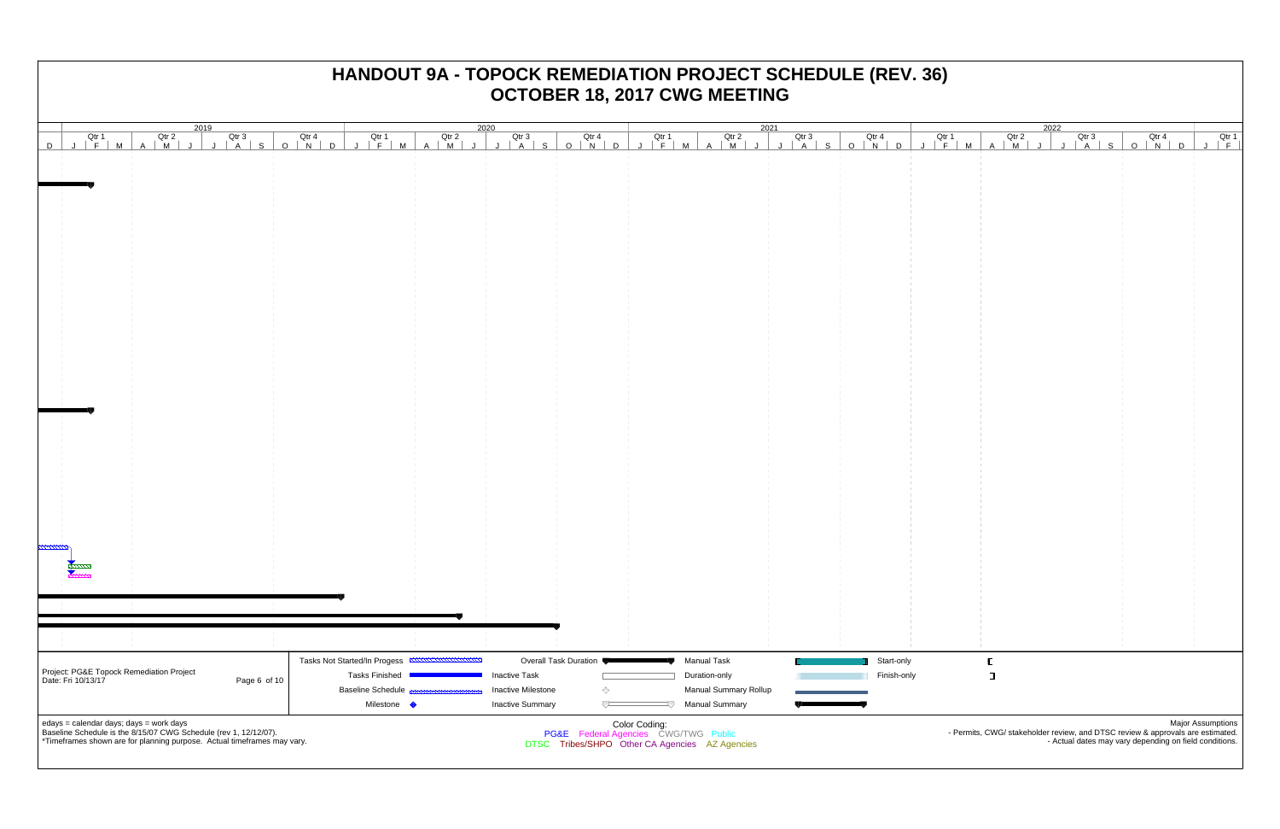|                                                                                                             |              |                                                   |                                                                                        | 2019<br>JFMAMJJJASONDJFMAMJJFMAMJJASONDJFMAMJJJASONDJFMAMJJASONDJFMAMJJ<br>JFMAMJJJASONDJFMAMJJASONDJFMAMJJJASONDJFMAMJJASONDJFMAMJ |                         |               |                                               |  |             |                                                                                                                                                               | 2022<br>$\begin{array}{c c c c c c c c c} \hline \multicolumn{1}{c }{\text{Qtr 3}} & & \multicolumn{1}{c }{\text{Qtr 4}} \ \multicolumn{1}{c }{\text{Qtr 3}} & & \multicolumn{1}{c }{\text{Qtr 4}} \ \multicolumn{1}{c }{\text{Qtr 4}} & & \multicolumn{1}{c }{\text{Qtr 1}} \ \multicolumn{1}{c }{\text{Qtr 4}} & & \multicolumn{1}{c }{\text{Qtr 1}} \ \multicolumn{1}{c }{\text{Qtr 4}} & & \multicolumn{1}{c }{\text{Qtr 1}}$ |  |  |  |  |  |  |  |
|-------------------------------------------------------------------------------------------------------------|--------------|---------------------------------------------------|----------------------------------------------------------------------------------------|-------------------------------------------------------------------------------------------------------------------------------------|-------------------------|---------------|-----------------------------------------------|--|-------------|---------------------------------------------------------------------------------------------------------------------------------------------------------------|-----------------------------------------------------------------------------------------------------------------------------------------------------------------------------------------------------------------------------------------------------------------------------------------------------------------------------------------------------------------------------------------------------------------------------------|--|--|--|--|--|--|--|
| D                                                                                                           |              |                                                   |                                                                                        |                                                                                                                                     |                         |               |                                               |  |             |                                                                                                                                                               |                                                                                                                                                                                                                                                                                                                                                                                                                                   |  |  |  |  |  |  |  |
|                                                                                                             |              |                                                   |                                                                                        |                                                                                                                                     |                         |               |                                               |  |             |                                                                                                                                                               |                                                                                                                                                                                                                                                                                                                                                                                                                                   |  |  |  |  |  |  |  |
|                                                                                                             |              |                                                   |                                                                                        |                                                                                                                                     |                         |               |                                               |  |             |                                                                                                                                                               |                                                                                                                                                                                                                                                                                                                                                                                                                                   |  |  |  |  |  |  |  |
|                                                                                                             |              |                                                   |                                                                                        |                                                                                                                                     |                         |               |                                               |  |             |                                                                                                                                                               |                                                                                                                                                                                                                                                                                                                                                                                                                                   |  |  |  |  |  |  |  |
|                                                                                                             |              |                                                   |                                                                                        |                                                                                                                                     |                         |               |                                               |  |             |                                                                                                                                                               |                                                                                                                                                                                                                                                                                                                                                                                                                                   |  |  |  |  |  |  |  |
|                                                                                                             |              |                                                   |                                                                                        |                                                                                                                                     |                         |               |                                               |  |             |                                                                                                                                                               |                                                                                                                                                                                                                                                                                                                                                                                                                                   |  |  |  |  |  |  |  |
|                                                                                                             |              |                                                   |                                                                                        |                                                                                                                                     |                         |               |                                               |  |             |                                                                                                                                                               |                                                                                                                                                                                                                                                                                                                                                                                                                                   |  |  |  |  |  |  |  |
|                                                                                                             |              |                                                   |                                                                                        |                                                                                                                                     |                         |               |                                               |  |             |                                                                                                                                                               |                                                                                                                                                                                                                                                                                                                                                                                                                                   |  |  |  |  |  |  |  |
|                                                                                                             |              |                                                   |                                                                                        |                                                                                                                                     |                         |               |                                               |  |             |                                                                                                                                                               |                                                                                                                                                                                                                                                                                                                                                                                                                                   |  |  |  |  |  |  |  |
|                                                                                                             |              |                                                   |                                                                                        |                                                                                                                                     |                         |               |                                               |  |             |                                                                                                                                                               |                                                                                                                                                                                                                                                                                                                                                                                                                                   |  |  |  |  |  |  |  |
|                                                                                                             |              |                                                   |                                                                                        |                                                                                                                                     |                         |               |                                               |  |             |                                                                                                                                                               |                                                                                                                                                                                                                                                                                                                                                                                                                                   |  |  |  |  |  |  |  |
|                                                                                                             |              |                                                   |                                                                                        |                                                                                                                                     |                         |               |                                               |  |             |                                                                                                                                                               |                                                                                                                                                                                                                                                                                                                                                                                                                                   |  |  |  |  |  |  |  |
|                                                                                                             |              |                                                   |                                                                                        |                                                                                                                                     |                         |               |                                               |  |             |                                                                                                                                                               |                                                                                                                                                                                                                                                                                                                                                                                                                                   |  |  |  |  |  |  |  |
|                                                                                                             |              |                                                   |                                                                                        |                                                                                                                                     |                         |               |                                               |  |             |                                                                                                                                                               |                                                                                                                                                                                                                                                                                                                                                                                                                                   |  |  |  |  |  |  |  |
|                                                                                                             |              |                                                   |                                                                                        |                                                                                                                                     |                         |               |                                               |  |             |                                                                                                                                                               |                                                                                                                                                                                                                                                                                                                                                                                                                                   |  |  |  |  |  |  |  |
|                                                                                                             |              |                                                   |                                                                                        |                                                                                                                                     |                         |               |                                               |  |             |                                                                                                                                                               |                                                                                                                                                                                                                                                                                                                                                                                                                                   |  |  |  |  |  |  |  |
|                                                                                                             |              |                                                   |                                                                                        |                                                                                                                                     |                         |               |                                               |  |             |                                                                                                                                                               |                                                                                                                                                                                                                                                                                                                                                                                                                                   |  |  |  |  |  |  |  |
|                                                                                                             |              |                                                   |                                                                                        |                                                                                                                                     |                         |               |                                               |  |             |                                                                                                                                                               |                                                                                                                                                                                                                                                                                                                                                                                                                                   |  |  |  |  |  |  |  |
|                                                                                                             |              |                                                   |                                                                                        |                                                                                                                                     |                         |               |                                               |  |             |                                                                                                                                                               |                                                                                                                                                                                                                                                                                                                                                                                                                                   |  |  |  |  |  |  |  |
|                                                                                                             |              |                                                   |                                                                                        |                                                                                                                                     |                         |               |                                               |  |             |                                                                                                                                                               |                                                                                                                                                                                                                                                                                                                                                                                                                                   |  |  |  |  |  |  |  |
|                                                                                                             |              |                                                   |                                                                                        |                                                                                                                                     |                         |               |                                               |  |             |                                                                                                                                                               |                                                                                                                                                                                                                                                                                                                                                                                                                                   |  |  |  |  |  |  |  |
|                                                                                                             |              |                                                   |                                                                                        |                                                                                                                                     |                         |               |                                               |  |             |                                                                                                                                                               |                                                                                                                                                                                                                                                                                                                                                                                                                                   |  |  |  |  |  |  |  |
|                                                                                                             |              |                                                   |                                                                                        |                                                                                                                                     |                         |               |                                               |  |             |                                                                                                                                                               |                                                                                                                                                                                                                                                                                                                                                                                                                                   |  |  |  |  |  |  |  |
|                                                                                                             |              |                                                   |                                                                                        |                                                                                                                                     |                         |               |                                               |  |             |                                                                                                                                                               |                                                                                                                                                                                                                                                                                                                                                                                                                                   |  |  |  |  |  |  |  |
|                                                                                                             |              |                                                   |                                                                                        |                                                                                                                                     |                         |               |                                               |  |             |                                                                                                                                                               |                                                                                                                                                                                                                                                                                                                                                                                                                                   |  |  |  |  |  |  |  |
|                                                                                                             |              |                                                   |                                                                                        |                                                                                                                                     |                         |               |                                               |  |             |                                                                                                                                                               |                                                                                                                                                                                                                                                                                                                                                                                                                                   |  |  |  |  |  |  |  |
|                                                                                                             |              |                                                   |                                                                                        |                                                                                                                                     |                         |               |                                               |  |             |                                                                                                                                                               |                                                                                                                                                                                                                                                                                                                                                                                                                                   |  |  |  |  |  |  |  |
|                                                                                                             |              |                                                   |                                                                                        |                                                                                                                                     |                         |               |                                               |  |             |                                                                                                                                                               |                                                                                                                                                                                                                                                                                                                                                                                                                                   |  |  |  |  |  |  |  |
| Project: PG&E Topock Remediation Project                                                                    |              | Tasks Not Started/In Progess                      |                                                                                        |                                                                                                                                     | Overall Task Duration ♥ |               | <b>Manual Task</b>                            |  | Start-only  |                                                                                                                                                               |                                                                                                                                                                                                                                                                                                                                                                                                                                   |  |  |  |  |  |  |  |
| Date: Fri 10/13/17                                                                                          | Page 6 of 10 | <b>Tasks Finished</b><br><b>Baseline Schedule</b> |                                                                                        | <b>Inactive Task</b><br><b>Inactive Milestone</b>                                                                                   | ◇                       |               | Duration-only<br><b>Manual Summary Rollup</b> |  | Finish-only |                                                                                                                                                               | $\blacksquare$                                                                                                                                                                                                                                                                                                                                                                                                                    |  |  |  |  |  |  |  |
|                                                                                                             |              |                                                   | Milestone •                                                                            | <b>Inactive Summary</b>                                                                                                             | $\overline{\smash{C}}$  |               | Manual Summary                                |  |             |                                                                                                                                                               |                                                                                                                                                                                                                                                                                                                                                                                                                                   |  |  |  |  |  |  |  |
| edays = calendar days; days = work days<br>Baseline Schedule is the 8/15/07 CWG Schedule (rev 1, 12/12/07). |              |                                                   |                                                                                        |                                                                                                                                     |                         | Color Coding: |                                               |  |             |                                                                                                                                                               |                                                                                                                                                                                                                                                                                                                                                                                                                                   |  |  |  |  |  |  |  |
| *Timeframes shown are for planning purpose. Actual timeframes may vary.                                     |              |                                                   | PG&E Federal Agencies CWG/TWG Public<br>DTSC Tribes/SHPO Other CA Agencies AZ Agencies |                                                                                                                                     |                         |               |                                               |  |             | Major Assumptions<br>. Permits, CWG/ stakeholder review, and DTSC review & approvals are estimated.<br>- Actual dates may vary depending on field conditions. |                                                                                                                                                                                                                                                                                                                                                                                                                                   |  |  |  |  |  |  |  |